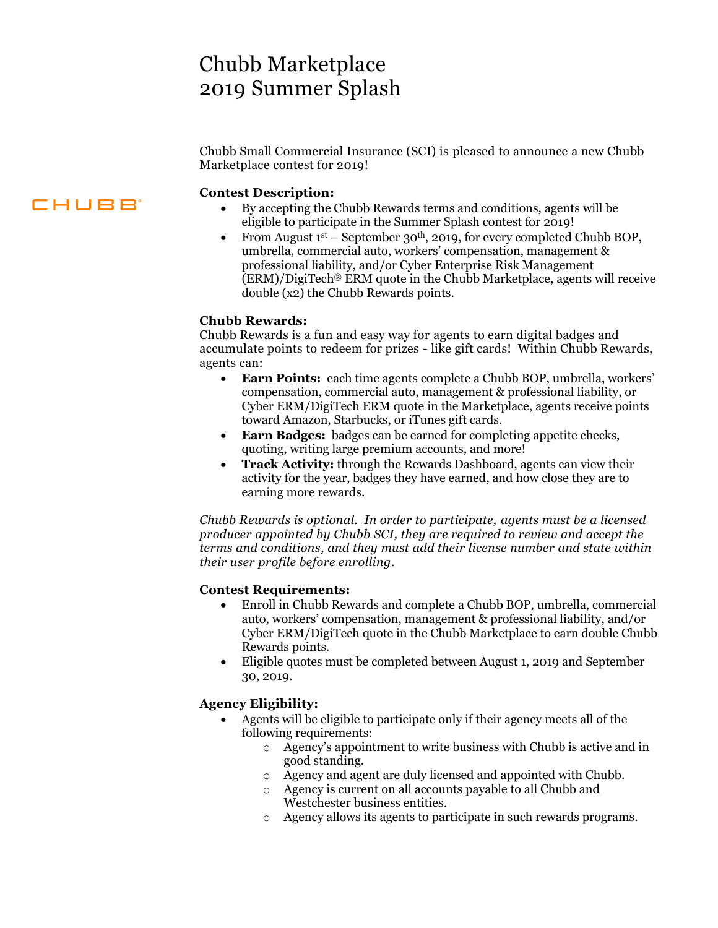## Chubb Marketplace 2019 Summer Splash

Chubb Small Commercial Insurance (SCI) is pleased to announce a new Chubb Marketplace contest for 2019!

#### **Contest Description:**

- By accepting the Chubb Rewards terms and conditions, agents will be eligible to participate in the Summer Splash contest for 2019!
- From August  $1^{st}$  September 30<sup>th</sup>, 2019, for every completed Chubb BOP, umbrella, commercial auto, workers' compensation, management & professional liability, and/or Cyber Enterprise Risk Management (ERM)/DigiTech® ERM quote in the Chubb Marketplace, agents will receive double (x2) the Chubb Rewards points.

#### **Chubb Rewards:**

 Chubb Rewards is a fun and easy way for agents to earn digital badges and accumulate points to redeem for prizes - like gift cards! Within Chubb Rewards, agents can:

- **Earn Points:** each time agents complete a Chubb BOP, umbrella, workers' compensation, commercial auto, management & professional liability, or Cyber ERM/DigiTech ERM quote in the Marketplace, agents receive points toward Amazon, Starbucks, or iTunes gift cards.
- **Earn Badges:** badges can be earned for completing appetite checks, quoting, writing large premium accounts, and more!
- activity for the year, badges they have earned, and how close they are to **Track Activity:** through the Rewards Dashboard, agents can view their earning more rewards.

 *Chubb Rewards is optional. In order to participate, agents must be a licensed producer appointed by Chubb SCI, they are required to review and accept the terms and conditions, and they must add their license number and state within their user profile before enrolling.* 

#### **Contest Requirements:**

- Enroll in Chubb Rewards and complete a Chubb BOP, umbrella, commercial Cyber ERM/DigiTech quote in the Chubb Marketplace to earn double Chubb auto, workers' compensation, management & professional liability, and/or Rewards points.
- Eligible quotes must be completed between August 1, 2019 and September 30, 2019.

#### **Agency Eligibility:**

- Agents will be eligible to participate only if their agency meets all of the following requirements:
	- o Agency's appointment to write business with Chubb is active and in good standing.
	- o Agency and agent are duly licensed and appointed with Chubb.
	- o Agency is current on all accounts payable to all Chubb and Westchester business entities.
	- o Agency allows its agents to participate in such rewards programs.

### **CHUBB**